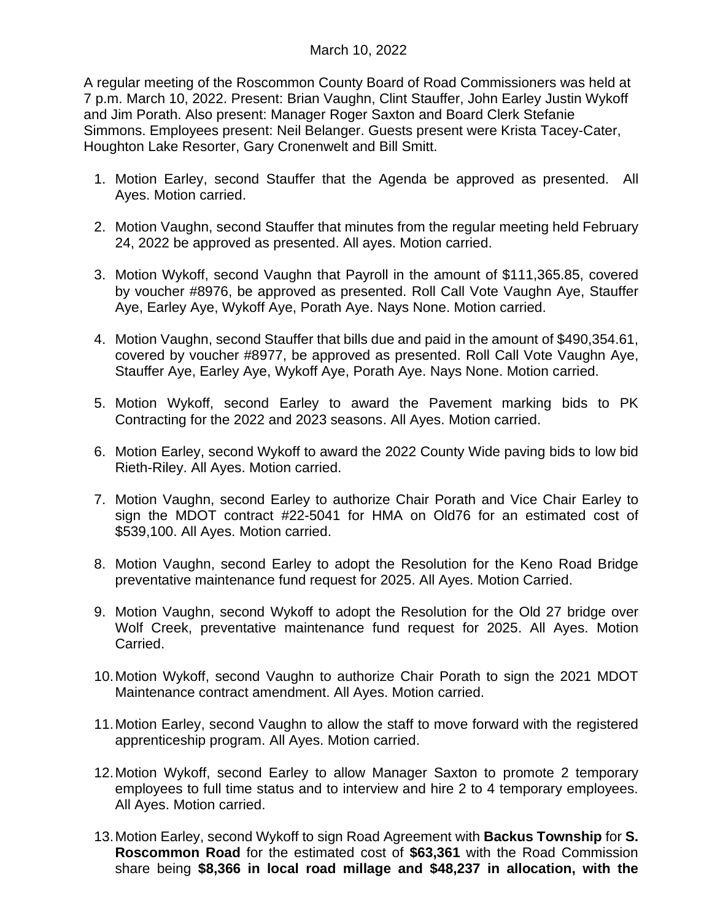A regular meeting of the Roscommon County Board of Road Commissioners was held at 7 p.m. March 10, 2022. Present: Brian Vaughn, Clint Stauffer, John Earley Justin Wykoff and Jim Porath. Also present: Manager Roger Saxton and Board Clerk Stefanie Simmons. Employees present: Neil Belanger. Guests present were Krista Tacey-Cater, Houghton Lake Resorter, Gary Cronenwelt and Bill Smitt.

- 1. Motion Earley, second Stauffer that the Agenda be approved as presented. All Ayes. Motion carried.
- 2. Motion Vaughn, second Stauffer that minutes from the regular meeting held February 24, 2022 be approved as presented. All ayes. Motion carried.
- 3. Motion Wykoff, second Vaughn that Payroll in the amount of \$111,365.85, covered by voucher #8976, be approved as presented. Roll Call Vote Vaughn Aye, Stauffer Aye, Earley Aye, Wykoff Aye, Porath Aye. Nays None. Motion carried.
- 4. Motion Vaughn, second Stauffer that bills due and paid in the amount of \$490,354.61, covered by voucher #8977, be approved as presented. Roll Call Vote Vaughn Aye, Stauffer Aye, Earley Aye, Wykoff Aye, Porath Aye. Nays None. Motion carried.
- 5. Motion Wykoff, second Earley to award the Pavement marking bids to PK Contracting for the 2022 and 2023 seasons. All Ayes. Motion carried.
- 6. Motion Earley, second Wykoff to award the 2022 County Wide paving bids to low bid Rieth-Riley. All Ayes. Motion carried.
- 7. Motion Vaughn, second Earley to authorize Chair Porath and Vice Chair Earley to sign the MDOT contract #22-5041 for HMA on Old76 for an estimated cost of \$539,100. All Ayes. Motion carried.
- 8. Motion Vaughn, second Earley to adopt the Resolution for the Keno Road Bridge preventative maintenance fund request for 2025. All Ayes. Motion Carried.
- 9. Motion Vaughn, second Wykoff to adopt the Resolution for the Old 27 bridge over Wolf Creek, preventative maintenance fund request for 2025. All Ayes. Motion Carried.
- 10.Motion Wykoff, second Vaughn to authorize Chair Porath to sign the 2021 MDOT Maintenance contract amendment. All Ayes. Motion carried.
- 11.Motion Earley, second Vaughn to allow the staff to move forward with the registered apprenticeship program. All Ayes. Motion carried.
- 12.Motion Wykoff, second Earley to allow Manager Saxton to promote 2 temporary employees to full time status and to interview and hire 2 to 4 temporary employees. All Ayes. Motion carried.
- 13.Motion Earley, second Wykoff to sign Road Agreement with **Backus Township** for **S. Roscommon Road** for the estimated cost of **\$63,361** with the Road Commission share being **\$8,366 in local road millage and \$48,237 in allocation, with the**